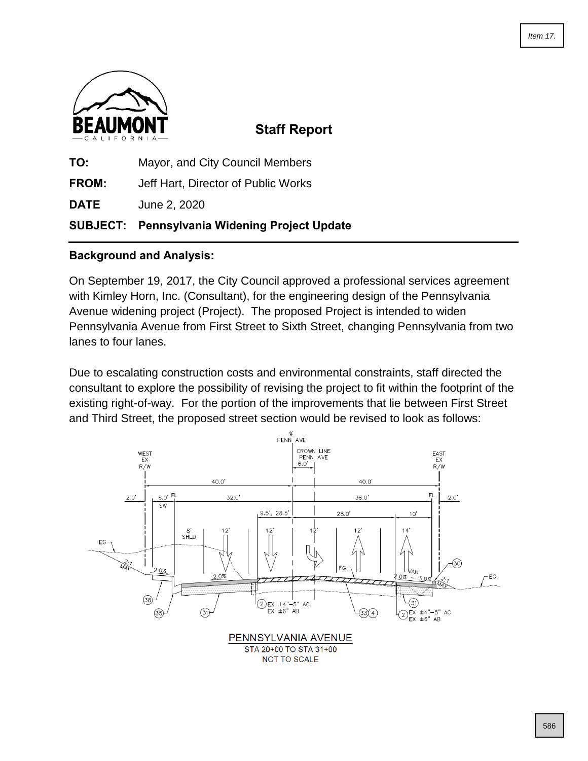

## **Staff Report**

**TO:** Mayor, and City Council Members **FROM:** Jeff Hart, Director of Public Works **DATE** June 2, 2020 **SUBJECT: Pennsylvania Widening Project Update**

## **Background and Analysis:**

On September 19, 2017, the City Council approved a professional services agreement with Kimley Horn, Inc. (Consultant), for the engineering design of the Pennsylvania Avenue widening project (Project). The proposed Project is intended to widen Pennsylvania Avenue from First Street to Sixth Street, changing Pennsylvania from two lanes to four lanes.

Due to escalating construction costs and environmental constraints, staff directed the consultant to explore the possibility of revising the project to fit within the footprint of the existing right-of-way. For the portion of the improvements that lie between First Street and Third Street, the proposed street section would be revised to look as follows:

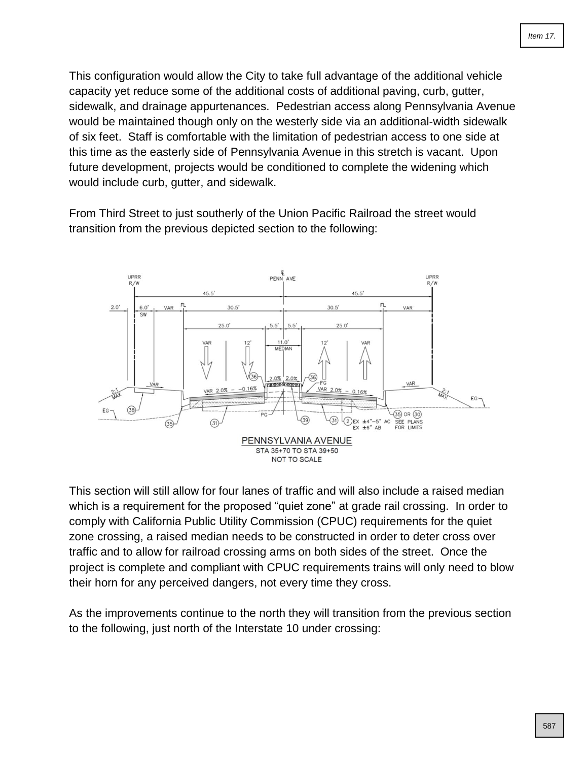This configuration would allow the City to take full advantage of the additional vehicle capacity yet reduce some of the additional costs of additional paving, curb, gutter, sidewalk, and drainage appurtenances. Pedestrian access along Pennsylvania Avenue would be maintained though only on the westerly side via an additional-width sidewalk of six feet. Staff is comfortable with the limitation of pedestrian access to one side at this time as the easterly side of Pennsylvania Avenue in this stretch is vacant. Upon future development, projects would be conditioned to complete the widening which would include curb, gutter, and sidewalk.

From Third Street to just southerly of the Union Pacific Railroad the street would transition from the previous depicted section to the following:



This section will still allow for four lanes of traffic and will also include a raised median which is a requirement for the proposed "quiet zone" at grade rail crossing. In order to comply with California Public Utility Commission (CPUC) requirements for the quiet zone crossing, a raised median needs to be constructed in order to deter cross over traffic and to allow for railroad crossing arms on both sides of the street. Once the project is complete and compliant with CPUC requirements trains will only need to blow their horn for any perceived dangers, not every time they cross.

As the improvements continue to the north they will transition from the previous section to the following, just north of the Interstate 10 under crossing: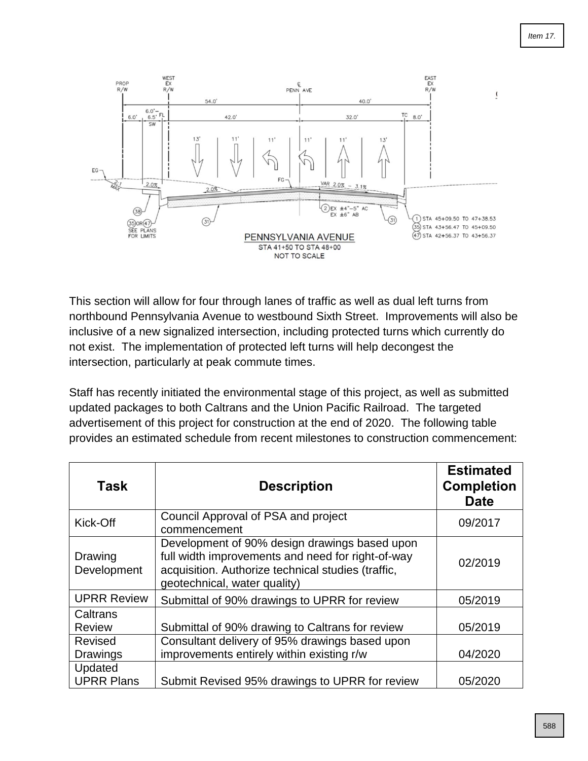

This section will allow for four through lanes of traffic as well as dual left turns from northbound Pennsylvania Avenue to westbound Sixth Street. Improvements will also be inclusive of a new signalized intersection, including protected turns which currently do not exist. The implementation of protected left turns will help decongest the intersection, particularly at peak commute times.

Staff has recently initiated the environmental stage of this project, as well as submitted updated packages to both Caltrans and the Union Pacific Railroad. The targeted advertisement of this project for construction at the end of 2020. The following table provides an estimated schedule from recent milestones to construction commencement:

| <b>Task</b>                  | <b>Description</b>                                                                                                                                                                       | <b>Estimated</b><br><b>Completion</b><br><b>Date</b> |
|------------------------------|------------------------------------------------------------------------------------------------------------------------------------------------------------------------------------------|------------------------------------------------------|
| Kick-Off                     | Council Approval of PSA and project<br>commencement                                                                                                                                      | 09/2017                                              |
| Drawing<br>Development       | Development of 90% design drawings based upon<br>full width improvements and need for right-of-way<br>acquisition. Authorize technical studies (traffic,<br>geotechnical, water quality) | 02/2019                                              |
| <b>UPRR Review</b>           | Submittal of 90% drawings to UPRR for review                                                                                                                                             | 05/2019                                              |
| Caltrans<br><b>Review</b>    | Submittal of 90% drawing to Caltrans for review                                                                                                                                          | 05/2019                                              |
| Revised<br>Drawings          | Consultant delivery of 95% drawings based upon<br>improvements entirely within existing r/w                                                                                              | 04/2020                                              |
| Updated<br><b>UPRR Plans</b> | Submit Revised 95% drawings to UPRR for review                                                                                                                                           | 05/2020                                              |